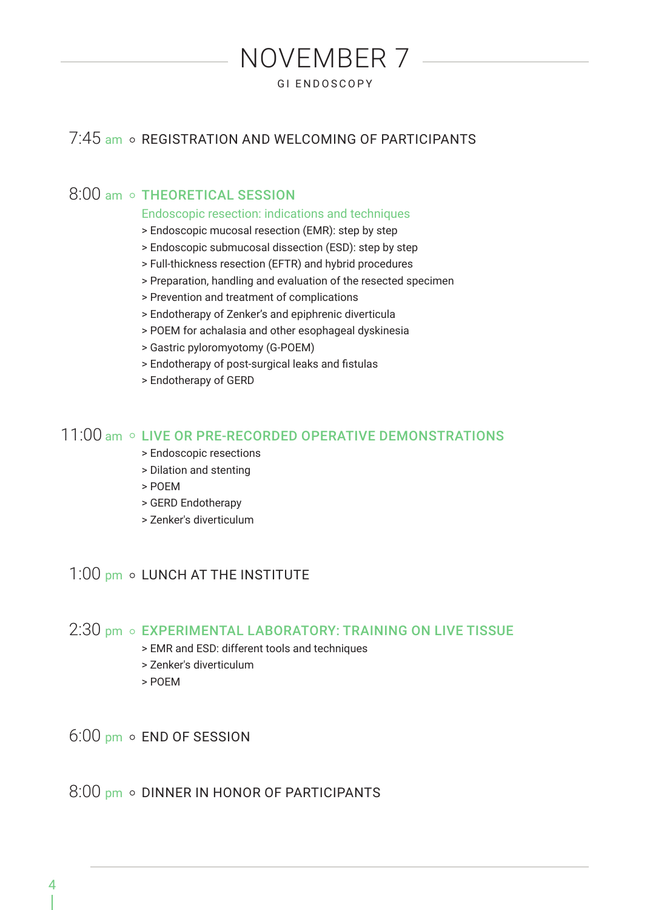## 7:45 am o REGISTRATION AND WELCOMING OF PARTICIPANTS

NOVEMBER 7 GI ENDOSCOPY

## 8:00 am o THEORETICAL SESSION

#### Endoscopic resection: indications and techniques

- > Endoscopic mucosal resection (EMR): step by step
- > Endoscopic submucosal dissection (ESD): step by step
- > Full-thickness resection (EFTR) and hybrid procedures
- > Preparation, handling and evaluation of the resected specimen
- > Prevention and treatment of complications
- > Endotherapy of Zenker's and epiphrenic diverticula
- > POEM for achalasia and other esophageal dyskinesia
- > Gastric pyloromyotomy (G-POEM)
- > Endotherapy of post-surgical leaks and fistulas
- > Endotherapy of GERD

#### 11:00 am o LIVE OR PRE-RECORDED OPERATIVE DEMONSTRATIONS

- > Endoscopic resections
- > Dilation and stenting
- > POEM
- > GERD Endotherapy
- > Zenker's diverticulum

#### 1:00 pm o LUNCH AT THE INSTITUTE

#### 2:30 pm o EXPERIMENTAL LABORATORY: TRAINING ON LIVE TISSUE

- > EMR and ESD: different tools and techniques
- > Zenker's diverticulum
- > POEM

 $6:00$  pm  $\circ$  END OF SESSION

 $8:00$  pm  $\circ$  DINNER IN HONOR OF PARTICIPANTS